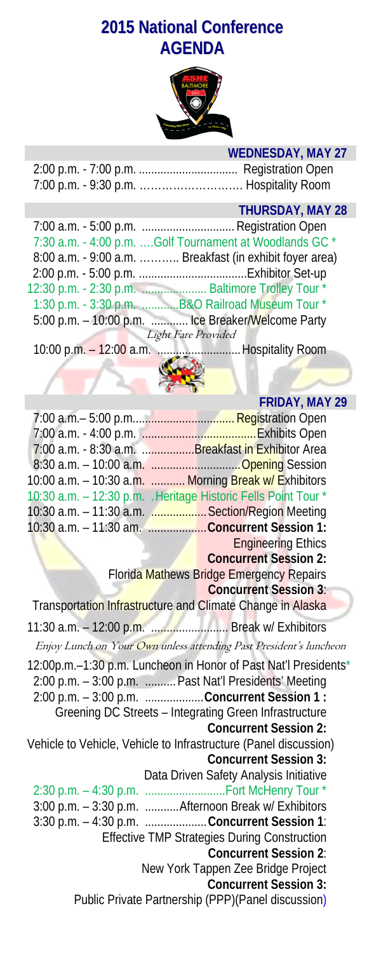# **2015 National Conference AGENDA**



## **WEDNESDAY, MAY 27**

## **THURSDAY, MAY 28**

|                     | 7:30 a.m. - 4:00 p.m. Golf Tournament at Woodlands GC *  |
|---------------------|----------------------------------------------------------|
|                     | 8:00 a.m. - 9:00 a.m.  Breakfast (in exhibit foyer area) |
|                     |                                                          |
|                     | 12:30 p.m. - 2:30 p.m.  Baltimore Trolley Tour *         |
|                     | 1:30 p.m. - 3:30 p.m. B&O Railroad Museum Tour *         |
|                     | 5:00 p.m. - 10:00 p.m.  Ice Breaker/Welcome Party        |
| Light Fare Provided |                                                          |
|                     |                                                          |

10:00 p.m. – 12:00 a.m. ...........................Hospitality Room



|                                                                    | <b>FRIDAY, MAY 29</b>                                                               |
|--------------------------------------------------------------------|-------------------------------------------------------------------------------------|
|                                                                    |                                                                                     |
|                                                                    |                                                                                     |
| 7:00 a.m. - 8:30 a.m. Breakfast in Exhibitor Area                  |                                                                                     |
| 8:30 a.m. - 10:00 a.m. Opening Session                             |                                                                                     |
| 10:00 a.m. - 10:30 a.m.  Morning Break w/ Exhibitors               |                                                                                     |
| 10:30 a.m. - 12:30 p.m. . Heritage Historic Fells Point Tour *     |                                                                                     |
| 10:30 a.m. - 11:30 a.m.  Section/Region Meeting                    |                                                                                     |
| 10:30 a.m. - 11:30 am. Concurrent Session 1:                       |                                                                                     |
|                                                                    | <b>Engineering Ethics</b>                                                           |
|                                                                    | <b>Concurrent Session 2:</b>                                                        |
|                                                                    | Florida Mathews Bridge Emergency Repairs<br><b>Concurrent Session 3:</b>            |
| Transportation Infrastructure and Climate Change in Alaska         |                                                                                     |
|                                                                    |                                                                                     |
| 11:30 a.m. - 12:00 p.m.  Break w/ Exhibitors                       |                                                                                     |
| Enjoy Lunch on Your Own unless attending Past President's luncheon |                                                                                     |
| 12:00p.m.-1:30 p.m. Luncheon in Honor of Past Nat'l Presidents*    |                                                                                     |
| 2:00 p.m. - 3:00 p.m.  Past Nat'l Presidents' Meeting              |                                                                                     |
| 2:00 p.m. - 3:00 p.m. Concurrent Session 1 :                       |                                                                                     |
| Greening DC Streets - Integrating Green Infrastructure             |                                                                                     |
|                                                                    | <b>Concurrent Session 2:</b>                                                        |
| Vehicle to Vehicle, Vehicle to Infrastructure (Panel discussion)   |                                                                                     |
|                                                                    | <b>Concurrent Session 3:</b>                                                        |
|                                                                    | Data Driven Safety Analysis Initiative                                              |
| 2:30 p.m. - 4:30 p.m.  Fort McHenry Tour *                         |                                                                                     |
| 3:00 p.m. - 3:30 p.m.  Afternoon Break w/ Exhibitors               |                                                                                     |
| 3:30 p.m. - 4:30 p.m.  Concurrent Session 1:                       |                                                                                     |
|                                                                    | <b>Effective TMP Strategies During Construction</b><br><b>Concurrent Session 2:</b> |
|                                                                    |                                                                                     |
|                                                                    | New York Tappen Zee Bridge Project<br><b>Concurrent Session 3:</b>                  |
|                                                                    | Public Private Partnership (PPP)(Panel discussion)                                  |
|                                                                    |                                                                                     |